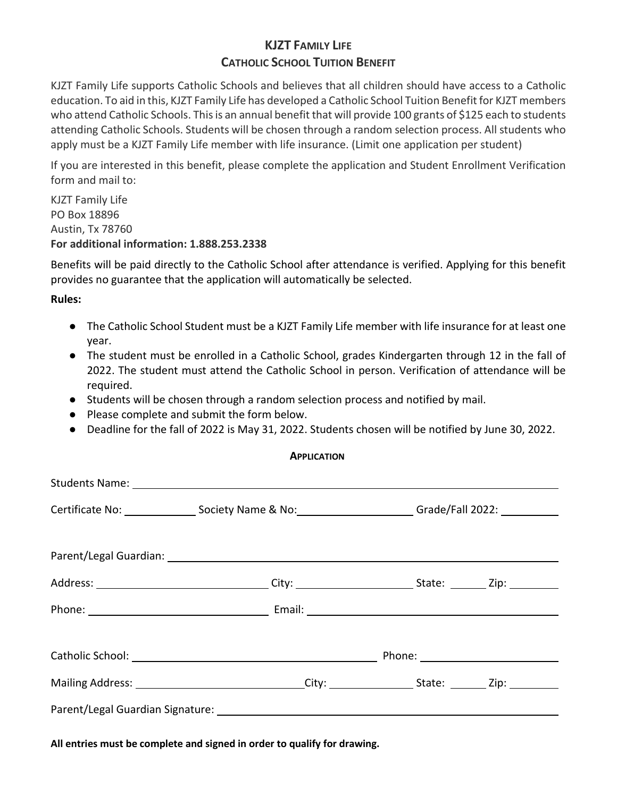## **KJZT FAMILY LIFE CATHOLIC SCHOOL TUITION BENEFIT**

KJZT Family Life supports Catholic Schools and believes that all children should have access to a Catholic education. To aid in this, KJZT Family Life has developed a Catholic School Tuition Benefit for KJZT members who attend Catholic Schools. This is an annual benefit that will provide 100 grants of \$125 each to students attending Catholic Schools. Students will be chosen through a random selection process. All students who apply must be a KJZT Family Life member with life insurance. (Limit one application per student)

If you are interested in this benefit, please complete the application and Student Enrollment Verification form and mail to:

KJZT Family Life PO Box 18896 Austin, Tx 78760 **For additional information: 1.888.253.2338**

Benefits will be paid directly to the Catholic School after attendance is verified. Applying for this benefit provides no guarantee that the application will automatically be selected.

**Rules:**

- The Catholic School Student must be a KJZT Family Life member with life insurance for at least one year.
- The student must be enrolled in a Catholic School, grades Kindergarten through 12 in the fall of 2022. The student must attend the Catholic School in person. Verification of attendance will be required.
- Students will be chosen through a random selection process and notified by mail.
- Please complete and submit the form below.
- Deadline for the fall of 2022 is May 31, 2022. Students chosen will be notified by June 30, 2022.

| Certificate No: __________________Society Name & No: ________________________Grade/Fall 2022: ____________              |  |  |
|-------------------------------------------------------------------------------------------------------------------------|--|--|
|                                                                                                                         |  |  |
|                                                                                                                         |  |  |
|                                                                                                                         |  |  |
| Catholic School: <u>Catholic School:</u> Catholic School: 2008. Phone: 2008. Phone: 2008. Phone: 2008. 2018. 2019. 2019 |  |  |
|                                                                                                                         |  |  |
|                                                                                                                         |  |  |

**All entries must be complete and signed in order to qualify for drawing.**

## **APPLICATION**